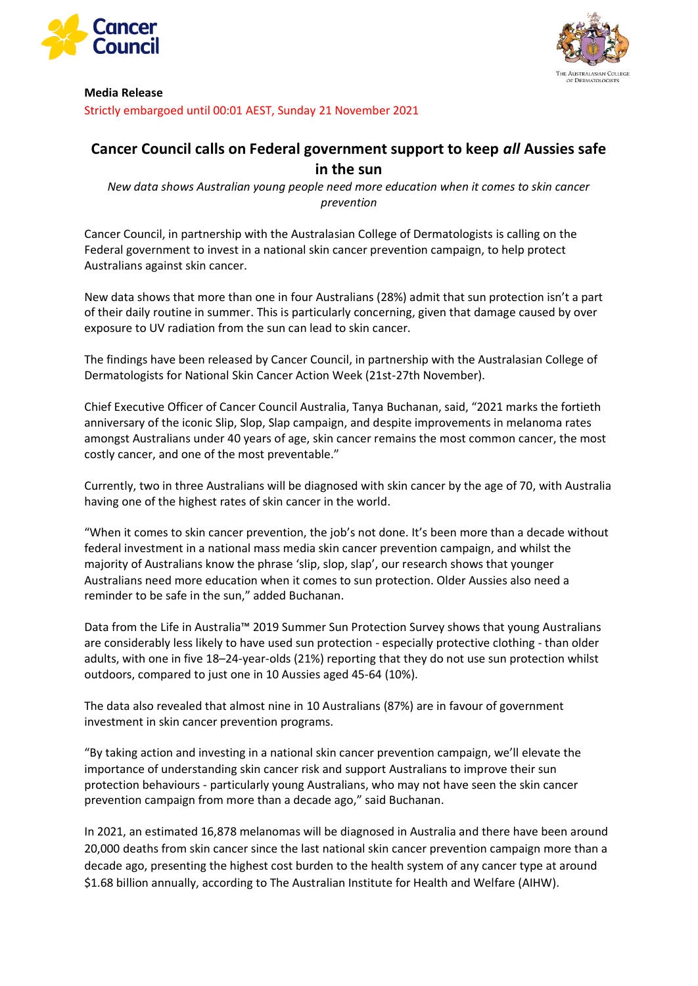



## **Media Release**

Strictly embargoed until 00:01 AEST, Sunday 21 November 2021

# **Cancer Council calls on Federal government support to keep** *all* **Aussies safe in the sun**

*New data shows Australian young people need more education when it comes to skin cancer prevention*

Cancer Council, in partnership with the Australasian College of Dermatologists is calling on the Federal government to invest in a national skin cancer prevention campaign, to help protect Australians against skin cancer.

New data shows that more than one in four Australians (28%) admit that sun protection isn't a part of their daily routine in summer. This is particularly concerning, given that damage caused by over exposure to UV radiation from the sun can lead to skin cancer.

The findings have been released by Cancer Council, in partnership with the Australasian College of Dermatologists for National Skin Cancer Action Week (21st-27th November).

Chief Executive Officer of Cancer Council Australia, Tanya Buchanan, said, "2021 marks the fortieth anniversary of the iconic Slip, Slop, Slap campaign, and despite improvements in melanoma rates amongst Australians under 40 years of age, skin cancer remains the most common cancer, the most costly cancer, and one of the most preventable."

Currently, two in three Australians will be diagnosed with skin cancer by the age of 70, with Australia having one of the highest rates of skin cancer in the world.

"When it comes to skin cancer prevention, the job's not done. It's been more than a decade without federal investment in a national mass media skin cancer prevention campaign, and whilst the majority of Australians know the phrase 'slip, slop, slap', our research shows that younger Australians need more education when it comes to sun protection. Older Aussies also need a reminder to be safe in the sun," added Buchanan.

Data from the Life in Australia™ 2019 Summer Sun Protection Survey shows that young Australians are considerably less likely to have used sun protection - especially protective clothing - than older adults, with one in five 18–24-year-olds (21%) reporting that they do not use sun protection whilst outdoors, compared to just one in 10 Aussies aged 45-64 (10%).

The data also revealed that almost nine in 10 Australians (87%) are in favour of government investment in skin cancer prevention programs.

"By taking action and investing in a national skin cancer prevention campaign, we'll elevate the importance of understanding skin cancer risk and support Australians to improve their sun protection behaviours - particularly young Australians, who may not have seen the skin cancer prevention campaign from more than a decade ago," said Buchanan.

In 2021, an estimated 16,878 melanomas will be diagnosed in Australia and there have been around 20,000 deaths from skin cancer since the last national skin cancer prevention campaign more than a decade ago, presenting the highest cost burden to the health system of any cancer type at around \$1.68 billion annually, according to The Australian Institute for Health and Welfare (AIHW).